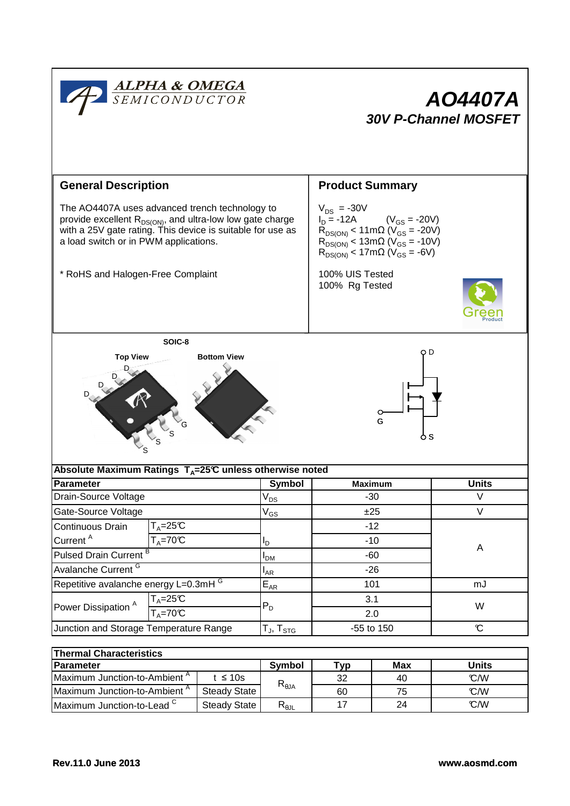

| <b>Thermal Characteristics</b>           |                     |                                  |                    |     |       |  |  |  |  |
|------------------------------------------|---------------------|----------------------------------|--------------------|-----|-------|--|--|--|--|
| <b>IParameter</b>                        |                     | <b>Symbol</b>                    | $^{\mathsf{r}}$ vp | Max | Units |  |  |  |  |
| Maximum Junction-to-Ambient <sup>A</sup> | t $\leq 10$ s       |                                  | 32                 | 40  | C/W   |  |  |  |  |
| Maximum Junction-to-Ambient <sup>A</sup> | Steady State I      | $R_{\theta$ JA                   | 60                 | 75  | C/W   |  |  |  |  |
| Maximum Junction-to-Lead C               | <b>Steady State</b> | $\mathsf{R}_{\theta\mathsf{JL}}$ |                    | 24  | C/W   |  |  |  |  |

A

 $\overline{V}$ V

mJ

W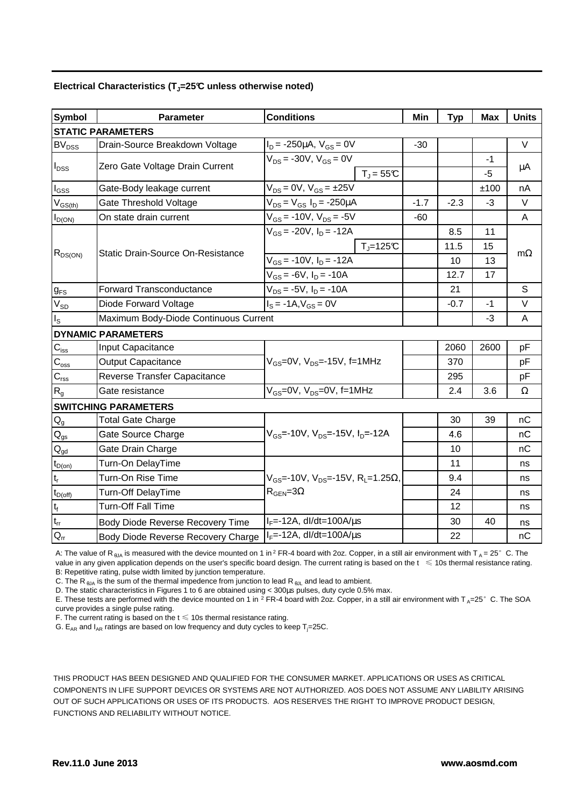|  |  |  | Electrical Characteristics ( $T_J$ =25°C unless otherwise noted) |
|--|--|--|------------------------------------------------------------------|
|--|--|--|------------------------------------------------------------------|

| <b>Symbol</b>                          | <b>Parameter</b>                      | <b>Conditions</b>                                               |        |        | <b>Max</b> | <b>Units</b> |  |
|----------------------------------------|---------------------------------------|-----------------------------------------------------------------|--------|--------|------------|--------------|--|
|                                        | <b>STATIC PARAMETERS</b>              |                                                                 |        |        |            |              |  |
| $BV_{DSS}$                             | Drain-Source Breakdown Voltage        | $I_D = -250 \mu A$ , $V_{GS} = 0V$                              | $-30$  |        |            | $\vee$       |  |
| $I_{DSS}$                              | Zero Gate Voltage Drain Current       | $V_{DS}$ = -30V, $V_{GS}$ = 0V                                  |        |        | -1         | μA           |  |
|                                        |                                       | $T_{\rm J}$ = 55°C                                              |        |        | -5         |              |  |
| $I_{GSS}$                              | Gate-Body leakage current             | $V_{DS} = 0V$ , $V_{GS} = \pm 25V$                              |        |        | ±100       | nA           |  |
| $V_{GS(th)}$                           | Gate Threshold Voltage                | $V_{DS} = V_{GS} I_D = -250 \mu A$                              | $-1.7$ | $-2.3$ | -3         | $\vee$       |  |
| $I_{D(ON)}$                            | On state drain current                | $V_{GS}$ = -10V, $V_{DS}$ = -5V                                 | $-60$  |        |            | A            |  |
| $R_{DS(ON)}$                           |                                       | $V_{GS}$ = -20V, $I_D$ = -12A                                   |        | 8.5    | 11         |              |  |
|                                        |                                       | $T_i = 125C$                                                    |        | 11.5   | 15         |              |  |
|                                        | Static Drain-Source On-Resistance     | $V_{GS}$ = -10V, $I_D$ = -12A                                   |        | 10     | 13         | $m\Omega$    |  |
|                                        |                                       | $V_{GS} = -6V$ , $I_D = -10A$                                   |        | 12.7   | 17         |              |  |
| $g_{FS}$                               | <b>Forward Transconductance</b>       | $V_{DS} = -5V$ , $I_D = -10A$                                   |        | 21     |            | S            |  |
| $V_{SD}$                               | Diode Forward Voltage                 | $I_S = -1A, V_{GS} = 0V$                                        |        | $-0.7$ | $-1$       | $\vee$       |  |
| $I_{\rm S}$                            | Maximum Body-Diode Continuous Current |                                                                 |        |        | -3         | Α            |  |
|                                        | <b>DYNAMIC PARAMETERS</b>             |                                                                 |        |        |            |              |  |
| $C_{iss}$                              | Input Capacitance                     |                                                                 |        | 2060   | 2600       | pF           |  |
| $C_{\rm oss}$                          | <b>Output Capacitance</b>             | $V_{GS}$ =0V, $V_{DS}$ =-15V, f=1MHz                            |        | 370    |            | pF           |  |
| $C_{\text{rss}}$                       | Reverse Transfer Capacitance          |                                                                 |        | 295    |            | pF           |  |
| R <sub>g</sub>                         | Gate resistance                       | $V_{GS}$ =0V, $V_{DS}$ =0V, f=1MHz                              |        | 2.4    | 3.6        | $\Omega$     |  |
|                                        | <b>SWITCHING PARAMETERS</b>           |                                                                 |        |        |            |              |  |
| $\mathsf{Q}_{\mathsf{g}}$              | <b>Total Gate Charge</b>              |                                                                 |        | 30     | 39         | nC           |  |
| $\mathbf{Q}_\text{gs}$                 | Gate Source Charge                    | $V_{GS}$ =-10V, $V_{DS}$ =-15V, $I_{D}$ =-12A                   |        | 4.6    |            | nC           |  |
| $\mathsf{Q}_{\underline{\mathsf{gd}}}$ | Gate Drain Charge                     |                                                                 |        | 10     |            | nC           |  |
| $t_{D(on)}$                            | Turn-On DelayTime                     |                                                                 |        | 11     |            | ns           |  |
| $t_r$                                  | Turn-On Rise Time                     | $V_{GS}$ =-10V, $V_{DS}$ =-15V, R <sub>1</sub> =1.25 $\Omega$ , |        | 9.4    |            | ns           |  |
| $t_{D(off)}$                           | Turn-Off DelayTime                    | $R_{\text{GEN}} = 3\Omega$                                      |        | 24     |            | ns           |  |
| $\mathsf{t}_{\mathsf{f}}$              | <b>Turn-Off Fall Time</b>             |                                                                 |        | 12     |            | ns           |  |
| $t_{rr}$                               | Body Diode Reverse Recovery Time      | $I_F$ =-12A, dl/dt=100A/ $\mu$ s                                |        | 30     | 40         | ns           |  |
| $Q_{rr}$                               | Body Diode Reverse Recovery Charge    | $I_F$ =-12A, dl/dt=100A/ $\mu$ s                                |        | 22     |            | nC           |  |

A: The value of R  $_{\text{BIA}}$  is measured with the device mounted on 1 in <sup>2</sup> FR-4 board with 2oz. Copper, in a still air environment with T  $_{\text{A}} = 25^\circ$  C. The value in any given application depends on the user's specific board design. The current rating is based on the  $t \leq 10$ s thermal resistance rating. B: Repetitive rating, pulse width limited by junction temperature.

C. The R<sub>AJA</sub> is the sum of the thermal impedence from junction to lead R<sub>AJL</sub> and lead to ambient.

D. The static characteristics in Figures 1 to 6 are obtained using < 300µs pulses, duty cycle 0.5% max.

E. These tests are performed with the device mounted on 1 in  $^2$  FR-4 board with 2oz. Copper, in a still air environment with T<sub>A</sub>=25°C. The SOA curve provides a single pulse rating.

F. The current rating is based on the  $t \leq 10$ s thermal resistance rating.

G.  $E_{AR}$  and  $I_{AR}$  ratings are based on low frequency and duty cycles to keep T<sub>i</sub>=25C.

THIS PRODUCT HAS BEEN DESIGNED AND QUALIFIED FOR THE CONSUMER MARKET. APPLICATIONS OR USES AS CRITICAL COMPONENTS IN LIFE SUPPORT DEVICES OR SYSTEMS ARE NOT AUTHORIZED. AOS DOES NOT ASSUME ANY LIABILITY ARISING OUT OF SUCH APPLICATIONS OR USES OF ITS PRODUCTS. AOS RESERVES THE RIGHT TO IMPROVE PRODUCT DESIGN, FUNCTIONS AND RELIABILITY WITHOUT NOTICE.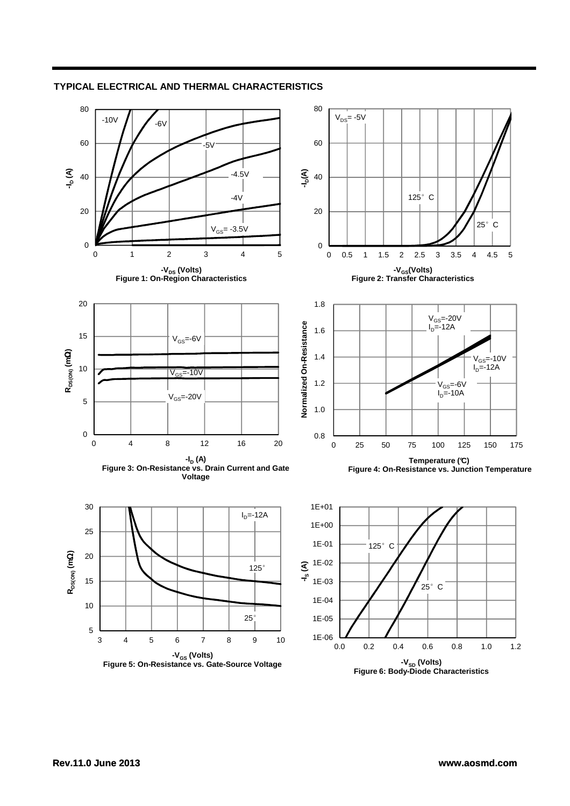

## **TYPICAL ELECTRICAL AND THERMAL CHARACTERISTICS**

**-VSD (Volts) Figure 6: Body-Diode Characteristics**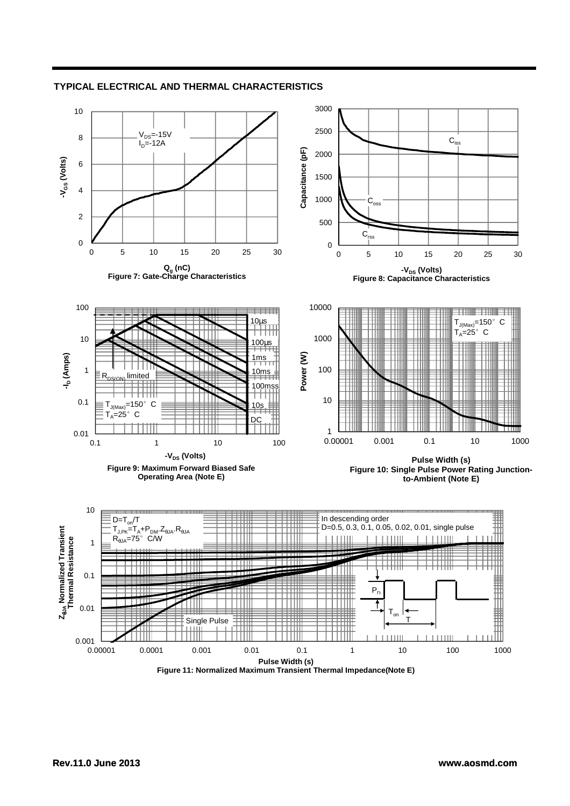

## **TYPICAL ELECTRICAL AND THERMAL CHARACTERISTICS**

**Figure 11: Normalized Maximum Transient Thermal Impedance(Note E)**